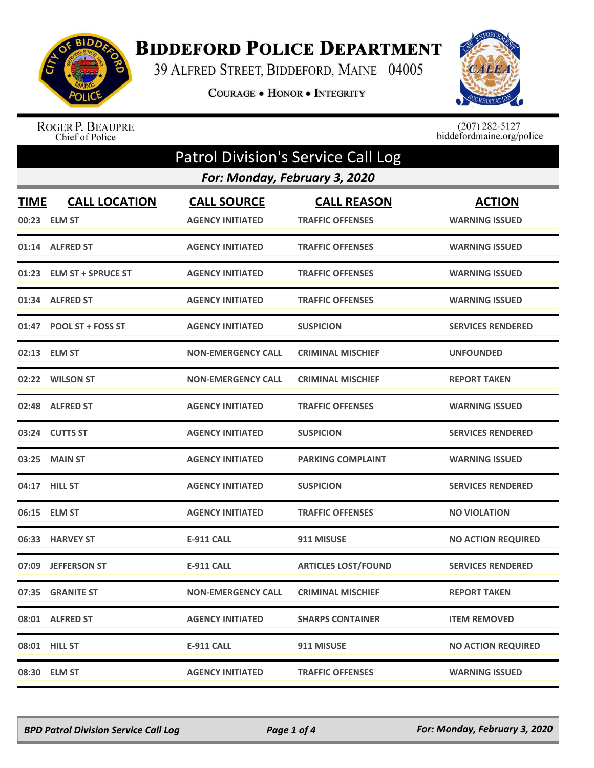

## **BIDDEFORD POLICE DEPARTMENT**

39 ALFRED STREET, BIDDEFORD, MAINE 04005

COURAGE . HONOR . INTEGRITY



ROGER P. BEAUPRE<br>Chief of Police

 $(207)$  282-5127<br>biddefordmaine.org/police

| <b>Patrol Division's Service Call Log</b> |                                      |                                               |                                               |                                        |  |
|-------------------------------------------|--------------------------------------|-----------------------------------------------|-----------------------------------------------|----------------------------------------|--|
|                                           | For: Monday, February 3, 2020        |                                               |                                               |                                        |  |
| <b>TIME</b>                               | <b>CALL LOCATION</b><br>00:23 ELM ST | <b>CALL SOURCE</b><br><b>AGENCY INITIATED</b> | <b>CALL REASON</b><br><b>TRAFFIC OFFENSES</b> | <b>ACTION</b><br><b>WARNING ISSUED</b> |  |
|                                           | 01:14 ALFRED ST                      | <b>AGENCY INITIATED</b>                       | <b>TRAFFIC OFFENSES</b>                       | <b>WARNING ISSUED</b>                  |  |
|                                           | 01:23 ELM ST + SPRUCE ST             | <b>AGENCY INITIATED</b>                       | <b>TRAFFIC OFFENSES</b>                       | <b>WARNING ISSUED</b>                  |  |
| 01:34                                     | <b>ALFRED ST</b>                     | <b>AGENCY INITIATED</b>                       | <b>TRAFFIC OFFENSES</b>                       | <b>WARNING ISSUED</b>                  |  |
|                                           | 01:47 POOL ST + FOSS ST              | <b>AGENCY INITIATED</b>                       | <b>SUSPICION</b>                              | <b>SERVICES RENDERED</b>               |  |
|                                           | 02:13 ELM ST                         | <b>NON-EMERGENCY CALL</b>                     | <b>CRIMINAL MISCHIEF</b>                      | <b>UNFOUNDED</b>                       |  |
|                                           | 02:22 WILSON ST                      | <b>NON-EMERGENCY CALL</b>                     | <b>CRIMINAL MISCHIEF</b>                      | <b>REPORT TAKEN</b>                    |  |
|                                           | 02:48 ALFRED ST                      | <b>AGENCY INITIATED</b>                       | <b>TRAFFIC OFFENSES</b>                       | <b>WARNING ISSUED</b>                  |  |
|                                           | 03:24 CUTTS ST                       | <b>AGENCY INITIATED</b>                       | <b>SUSPICION</b>                              | <b>SERVICES RENDERED</b>               |  |
|                                           | 03:25 MAIN ST                        | <b>AGENCY INITIATED</b>                       | <b>PARKING COMPLAINT</b>                      | <b>WARNING ISSUED</b>                  |  |
| 04:17                                     | <b>HILL ST</b>                       | <b>AGENCY INITIATED</b>                       | <b>SUSPICION</b>                              | <b>SERVICES RENDERED</b>               |  |
|                                           | 06:15 ELM ST                         | <b>AGENCY INITIATED</b>                       | <b>TRAFFIC OFFENSES</b>                       | <b>NO VIOLATION</b>                    |  |
|                                           | 06:33 HARVEY ST                      | <b>E-911 CALL</b>                             | 911 MISUSE                                    | <b>NO ACTION REQUIRED</b>              |  |
| 07:09                                     | <b>JEFFERSON ST</b>                  | <b>E-911 CALL</b>                             | <b>ARTICLES LOST/FOUND</b>                    | <b>SERVICES RENDERED</b>               |  |
|                                           | 07:35 GRANITE ST                     | <b>NON-EMERGENCY CALL</b>                     | <b>CRIMINAL MISCHIEF</b>                      | <b>REPORT TAKEN</b>                    |  |
|                                           | 08:01 ALFRED ST                      | <b>AGENCY INITIATED</b>                       | <b>SHARPS CONTAINER</b>                       | <b>ITEM REMOVED</b>                    |  |
|                                           | 08:01 HILL ST                        | <b>E-911 CALL</b>                             | 911 MISUSE                                    | <b>NO ACTION REQUIRED</b>              |  |
|                                           | 08:30 ELM ST                         | <b>AGENCY INITIATED</b>                       | <b>TRAFFIC OFFENSES</b>                       | <b>WARNING ISSUED</b>                  |  |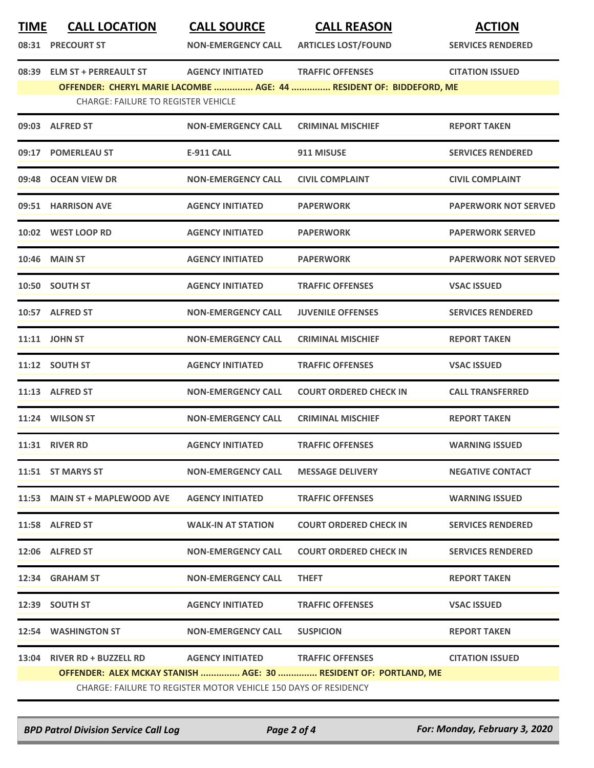| <b>TIME</b> | <b>CALL LOCATION</b>                                                       | <b>CALL SOURCE</b>                                                                                   | <b>CALL REASON</b>                                                                             | <b>ACTION</b>               |
|-------------|----------------------------------------------------------------------------|------------------------------------------------------------------------------------------------------|------------------------------------------------------------------------------------------------|-----------------------------|
|             | 08:31 PRECOURT ST                                                          | <b>NON-EMERGENCY CALL</b>                                                                            | <b>ARTICLES LOST/FOUND</b>                                                                     | <b>SERVICES RENDERED</b>    |
| 08:39       | <b>ELM ST + PERREAULT ST</b><br><b>CHARGE: FAILURE TO REGISTER VEHICLE</b> | <b>AGENCY INITIATED</b>                                                                              | <b>TRAFFIC OFFENSES</b><br>OFFENDER: CHERYL MARIE LACOMBE  AGE: 44  RESIDENT OF: BIDDEFORD, ME | <b>CITATION ISSUED</b>      |
|             | 09:03 ALFRED ST                                                            | <b>NON-EMERGENCY CALL</b>                                                                            | <b>CRIMINAL MISCHIEF</b>                                                                       | <b>REPORT TAKEN</b>         |
|             | 09:17 POMERLEAU ST                                                         | <b>E-911 CALL</b>                                                                                    | 911 MISUSE                                                                                     | <b>SERVICES RENDERED</b>    |
|             | 09:48 OCEAN VIEW DR                                                        | <b>NON-EMERGENCY CALL</b>                                                                            | <b>CIVIL COMPLAINT</b>                                                                         | <b>CIVIL COMPLAINT</b>      |
|             | 09:51 HARRISON AVE                                                         | <b>AGENCY INITIATED</b>                                                                              | <b>PAPERWORK</b>                                                                               | <b>PAPERWORK NOT SERVED</b> |
|             | 10:02 WEST LOOP RD                                                         | <b>AGENCY INITIATED</b>                                                                              | <b>PAPERWORK</b>                                                                               | <b>PAPERWORK SERVED</b>     |
|             | <b>10:46 MAIN ST</b>                                                       | <b>AGENCY INITIATED</b>                                                                              | <b>PAPERWORK</b>                                                                               | <b>PAPERWORK NOT SERVED</b> |
|             | 10:50 SOUTH ST                                                             | <b>AGENCY INITIATED</b>                                                                              | <b>TRAFFIC OFFENSES</b>                                                                        | <b>VSAC ISSUED</b>          |
|             | 10:57 ALFRED ST                                                            | <b>NON-EMERGENCY CALL</b>                                                                            | <b>JUVENILE OFFENSES</b>                                                                       | <b>SERVICES RENDERED</b>    |
|             | 11:11 JOHN ST                                                              | <b>NON-EMERGENCY CALL</b>                                                                            | <b>CRIMINAL MISCHIEF</b>                                                                       | <b>REPORT TAKEN</b>         |
|             | 11:12 SOUTH ST                                                             | <b>AGENCY INITIATED</b>                                                                              | <b>TRAFFIC OFFENSES</b>                                                                        | <b>VSAC ISSUED</b>          |
|             | 11:13 ALFRED ST                                                            | <b>NON-EMERGENCY CALL</b>                                                                            | <b>COURT ORDERED CHECK IN</b>                                                                  | <b>CALL TRANSFERRED</b>     |
|             | 11:24 WILSON ST                                                            | <b>NON-EMERGENCY CALL</b>                                                                            | <b>CRIMINAL MISCHIEF</b>                                                                       | <b>REPORT TAKEN</b>         |
|             | 11:31 RIVER RD                                                             | <b>AGENCY INITIATED</b>                                                                              | <b>TRAFFIC OFFENSES</b>                                                                        | <b>WARNING ISSUED</b>       |
|             | 11:51 ST MARYS ST                                                          | <b>NON-EMERGENCY CALL</b>                                                                            | <b>MESSAGE DELIVERY</b>                                                                        | <b>NEGATIVE CONTACT</b>     |
|             | 11:53 MAIN ST + MAPLEWOOD AVE                                              | <b>AGENCY INITIATED</b>                                                                              | <b>TRAFFIC OFFENSES</b>                                                                        | <b>WARNING ISSUED</b>       |
|             | 11:58 ALFRED ST                                                            | <b>WALK-IN AT STATION</b>                                                                            | <b>COURT ORDERED CHECK IN</b>                                                                  | <b>SERVICES RENDERED</b>    |
|             | 12:06 ALFRED ST                                                            | <b>NON-EMERGENCY CALL</b>                                                                            | <b>COURT ORDERED CHECK IN</b>                                                                  | <b>SERVICES RENDERED</b>    |
|             | 12:34 GRAHAM ST                                                            | <b>NON-EMERGENCY CALL</b>                                                                            | <b>THEFT</b>                                                                                   | <b>REPORT TAKEN</b>         |
|             | 12:39 SOUTH ST                                                             | <b>AGENCY INITIATED</b>                                                                              | <b>TRAFFIC OFFENSES</b>                                                                        | <b>VSAC ISSUED</b>          |
|             | 12:54 WASHINGTON ST                                                        | <b>NON-EMERGENCY CALL</b>                                                                            | <b>SUSPICION</b>                                                                               | <b>REPORT TAKEN</b>         |
|             | 13:04 RIVER RD + BUZZELL RD                                                | AGENCY INITIATED TRAFFIC OFFENSES<br>CHARGE: FAILURE TO REGISTER MOTOR VEHICLE 150 DAYS OF RESIDENCY | OFFENDER: ALEX MCKAY STANISH  AGE: 30  RESIDENT OF: PORTLAND, ME                               | <b>CITATION ISSUED</b>      |

*BPD Patrol Division Service Call Log Page 2 of 4 For: Monday, February 3, 2020*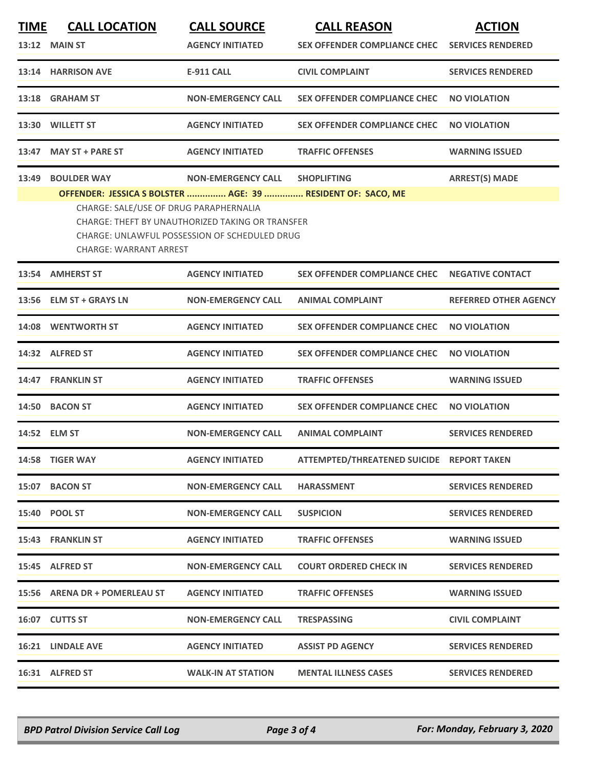| 13:12 MAIN ST<br><b>AGENCY INITIATED</b><br><b>SEX OFFENDER COMPLIANCE CHEC</b><br>13:14 HARRISON AVE<br>E-911 CALL<br><b>CIVIL COMPLAINT</b><br>13:18 GRAHAM ST<br><b>NON-EMERGENCY CALL</b><br><b>SEX OFFENDER COMPLIANCE CHEC</b><br><b>WILLETT ST</b><br><b>AGENCY INITIATED</b><br><b>SEX OFFENDER COMPLIANCE CHEC</b><br>13:30<br><b>MAY ST + PARE ST</b><br><b>AGENCY INITIATED</b><br>13:47<br><b>TRAFFIC OFFENSES</b><br><b>BOULDER WAY</b><br><b>NON-EMERGENCY CALL</b><br><b>SHOPLIFTING</b><br>13:49<br>OFFENDER: JESSICA S BOLSTER  AGE: 39  RESIDENT OF: SACO, ME<br>CHARGE: SALE/USE OF DRUG PARAPHERNALIA<br>CHARGE: THEFT BY UNAUTHORIZED TAKING OR TRANSFER<br>CHARGE: UNLAWFUL POSSESSION OF SCHEDULED DRUG<br><b>CHARGE: WARRANT ARREST</b><br>13:54 AMHERST ST<br><b>AGENCY INITIATED</b><br><b>SEX OFFENDER COMPLIANCE CHEC</b><br><b>ELM ST + GRAYS LN</b><br><b>NON-EMERGENCY CALL</b><br><b>ANIMAL COMPLAINT</b><br>13:56<br>14:08 WENTWORTH ST<br><b>AGENCY INITIATED</b><br><b>SEX OFFENDER COMPLIANCE CHEC</b><br>14:32 ALFRED ST<br><b>AGENCY INITIATED</b><br><b>SEX OFFENDER COMPLIANCE CHEC</b><br><b>FRANKLIN ST</b><br><b>AGENCY INITIATED</b><br><b>TRAFFIC OFFENSES</b><br>14:47<br><b>AGENCY INITIATED</b><br><b>SEX OFFENDER COMPLIANCE CHEC</b><br>14:50 BACON ST<br>14:52 ELM ST<br><b>NON-EMERGENCY CALL</b><br><b>ANIMAL COMPLAINT</b><br><b>AGENCY INITIATED</b><br>14:58 TIGER WAY<br>ATTEMPTED/THREATENED SUICIDE REPORT TAKEN<br>15:07 BACON ST<br><b>NON-EMERGENCY CALL</b><br><b>HARASSMENT</b><br>15:40 POOL ST<br><b>SUSPICION</b><br><b>NON-EMERGENCY CALL</b><br><b>15:43 FRANKLIN ST</b><br><b>AGENCY INITIATED</b><br><b>TRAFFIC OFFENSES</b><br>15:45 ALFRED ST<br><b>NON-EMERGENCY CALL</b><br><b>COURT ORDERED CHECK IN</b> | <b>TIME</b> | <b>CALL LOCATION</b>  | <b>CALL SOURCE</b> | <b>CALL REASON</b> | <b>ACTION</b>                |  |
|--------------------------------------------------------------------------------------------------------------------------------------------------------------------------------------------------------------------------------------------------------------------------------------------------------------------------------------------------------------------------------------------------------------------------------------------------------------------------------------------------------------------------------------------------------------------------------------------------------------------------------------------------------------------------------------------------------------------------------------------------------------------------------------------------------------------------------------------------------------------------------------------------------------------------------------------------------------------------------------------------------------------------------------------------------------------------------------------------------------------------------------------------------------------------------------------------------------------------------------------------------------------------------------------------------------------------------------------------------------------------------------------------------------------------------------------------------------------------------------------------------------------------------------------------------------------------------------------------------------------------------------------------------------------------------------------------------------------------------------------------------------------------------------|-------------|-----------------------|--------------------|--------------------|------------------------------|--|
|                                                                                                                                                                                                                                                                                                                                                                                                                                                                                                                                                                                                                                                                                                                                                                                                                                                                                                                                                                                                                                                                                                                                                                                                                                                                                                                                                                                                                                                                                                                                                                                                                                                                                                                                                                                      |             |                       |                    |                    | <b>SERVICES RENDERED</b>     |  |
|                                                                                                                                                                                                                                                                                                                                                                                                                                                                                                                                                                                                                                                                                                                                                                                                                                                                                                                                                                                                                                                                                                                                                                                                                                                                                                                                                                                                                                                                                                                                                                                                                                                                                                                                                                                      |             |                       |                    |                    | <b>SERVICES RENDERED</b>     |  |
|                                                                                                                                                                                                                                                                                                                                                                                                                                                                                                                                                                                                                                                                                                                                                                                                                                                                                                                                                                                                                                                                                                                                                                                                                                                                                                                                                                                                                                                                                                                                                                                                                                                                                                                                                                                      |             |                       |                    |                    | <b>NO VIOLATION</b>          |  |
|                                                                                                                                                                                                                                                                                                                                                                                                                                                                                                                                                                                                                                                                                                                                                                                                                                                                                                                                                                                                                                                                                                                                                                                                                                                                                                                                                                                                                                                                                                                                                                                                                                                                                                                                                                                      |             |                       |                    |                    | <b>NO VIOLATION</b>          |  |
|                                                                                                                                                                                                                                                                                                                                                                                                                                                                                                                                                                                                                                                                                                                                                                                                                                                                                                                                                                                                                                                                                                                                                                                                                                                                                                                                                                                                                                                                                                                                                                                                                                                                                                                                                                                      |             |                       |                    |                    | <b>WARNING ISSUED</b>        |  |
|                                                                                                                                                                                                                                                                                                                                                                                                                                                                                                                                                                                                                                                                                                                                                                                                                                                                                                                                                                                                                                                                                                                                                                                                                                                                                                                                                                                                                                                                                                                                                                                                                                                                                                                                                                                      |             | <b>ARREST(S) MADE</b> |                    |                    |                              |  |
|                                                                                                                                                                                                                                                                                                                                                                                                                                                                                                                                                                                                                                                                                                                                                                                                                                                                                                                                                                                                                                                                                                                                                                                                                                                                                                                                                                                                                                                                                                                                                                                                                                                                                                                                                                                      |             |                       |                    |                    | <b>NEGATIVE CONTACT</b>      |  |
|                                                                                                                                                                                                                                                                                                                                                                                                                                                                                                                                                                                                                                                                                                                                                                                                                                                                                                                                                                                                                                                                                                                                                                                                                                                                                                                                                                                                                                                                                                                                                                                                                                                                                                                                                                                      |             |                       |                    |                    | <b>REFERRED OTHER AGENCY</b> |  |
|                                                                                                                                                                                                                                                                                                                                                                                                                                                                                                                                                                                                                                                                                                                                                                                                                                                                                                                                                                                                                                                                                                                                                                                                                                                                                                                                                                                                                                                                                                                                                                                                                                                                                                                                                                                      |             |                       |                    |                    | <b>NO VIOLATION</b>          |  |
|                                                                                                                                                                                                                                                                                                                                                                                                                                                                                                                                                                                                                                                                                                                                                                                                                                                                                                                                                                                                                                                                                                                                                                                                                                                                                                                                                                                                                                                                                                                                                                                                                                                                                                                                                                                      |             |                       |                    |                    | <b>NO VIOLATION</b>          |  |
|                                                                                                                                                                                                                                                                                                                                                                                                                                                                                                                                                                                                                                                                                                                                                                                                                                                                                                                                                                                                                                                                                                                                                                                                                                                                                                                                                                                                                                                                                                                                                                                                                                                                                                                                                                                      |             |                       |                    |                    | <b>WARNING ISSUED</b>        |  |
|                                                                                                                                                                                                                                                                                                                                                                                                                                                                                                                                                                                                                                                                                                                                                                                                                                                                                                                                                                                                                                                                                                                                                                                                                                                                                                                                                                                                                                                                                                                                                                                                                                                                                                                                                                                      |             |                       |                    |                    | <b>NO VIOLATION</b>          |  |
|                                                                                                                                                                                                                                                                                                                                                                                                                                                                                                                                                                                                                                                                                                                                                                                                                                                                                                                                                                                                                                                                                                                                                                                                                                                                                                                                                                                                                                                                                                                                                                                                                                                                                                                                                                                      |             |                       |                    |                    | <b>SERVICES RENDERED</b>     |  |
|                                                                                                                                                                                                                                                                                                                                                                                                                                                                                                                                                                                                                                                                                                                                                                                                                                                                                                                                                                                                                                                                                                                                                                                                                                                                                                                                                                                                                                                                                                                                                                                                                                                                                                                                                                                      |             |                       |                    |                    |                              |  |
|                                                                                                                                                                                                                                                                                                                                                                                                                                                                                                                                                                                                                                                                                                                                                                                                                                                                                                                                                                                                                                                                                                                                                                                                                                                                                                                                                                                                                                                                                                                                                                                                                                                                                                                                                                                      |             |                       |                    |                    | <b>SERVICES RENDERED</b>     |  |
|                                                                                                                                                                                                                                                                                                                                                                                                                                                                                                                                                                                                                                                                                                                                                                                                                                                                                                                                                                                                                                                                                                                                                                                                                                                                                                                                                                                                                                                                                                                                                                                                                                                                                                                                                                                      |             |                       |                    |                    | <b>SERVICES RENDERED</b>     |  |
|                                                                                                                                                                                                                                                                                                                                                                                                                                                                                                                                                                                                                                                                                                                                                                                                                                                                                                                                                                                                                                                                                                                                                                                                                                                                                                                                                                                                                                                                                                                                                                                                                                                                                                                                                                                      |             |                       |                    |                    | <b>WARNING ISSUED</b>        |  |
|                                                                                                                                                                                                                                                                                                                                                                                                                                                                                                                                                                                                                                                                                                                                                                                                                                                                                                                                                                                                                                                                                                                                                                                                                                                                                                                                                                                                                                                                                                                                                                                                                                                                                                                                                                                      |             |                       |                    |                    | <b>SERVICES RENDERED</b>     |  |
| 15:56 ARENA DR + POMERLEAU ST<br><b>AGENCY INITIATED</b><br><b>TRAFFIC OFFENSES</b>                                                                                                                                                                                                                                                                                                                                                                                                                                                                                                                                                                                                                                                                                                                                                                                                                                                                                                                                                                                                                                                                                                                                                                                                                                                                                                                                                                                                                                                                                                                                                                                                                                                                                                  |             |                       |                    |                    | <b>WARNING ISSUED</b>        |  |
| 16:07 CUTTS ST<br><b>NON-EMERGENCY CALL</b><br><b>TRESPASSING</b>                                                                                                                                                                                                                                                                                                                                                                                                                                                                                                                                                                                                                                                                                                                                                                                                                                                                                                                                                                                                                                                                                                                                                                                                                                                                                                                                                                                                                                                                                                                                                                                                                                                                                                                    |             |                       |                    |                    | <b>CIVIL COMPLAINT</b>       |  |
| <b>ASSIST PD AGENCY</b><br><b>16:21 LINDALE AVE</b><br><b>AGENCY INITIATED</b>                                                                                                                                                                                                                                                                                                                                                                                                                                                                                                                                                                                                                                                                                                                                                                                                                                                                                                                                                                                                                                                                                                                                                                                                                                                                                                                                                                                                                                                                                                                                                                                                                                                                                                       |             |                       |                    |                    | <b>SERVICES RENDERED</b>     |  |
| 16:31 ALFRED ST<br><b>WALK-IN AT STATION</b><br><b>MENTAL ILLNESS CASES</b>                                                                                                                                                                                                                                                                                                                                                                                                                                                                                                                                                                                                                                                                                                                                                                                                                                                                                                                                                                                                                                                                                                                                                                                                                                                                                                                                                                                                                                                                                                                                                                                                                                                                                                          |             |                       |                    |                    | <b>SERVICES RENDERED</b>     |  |